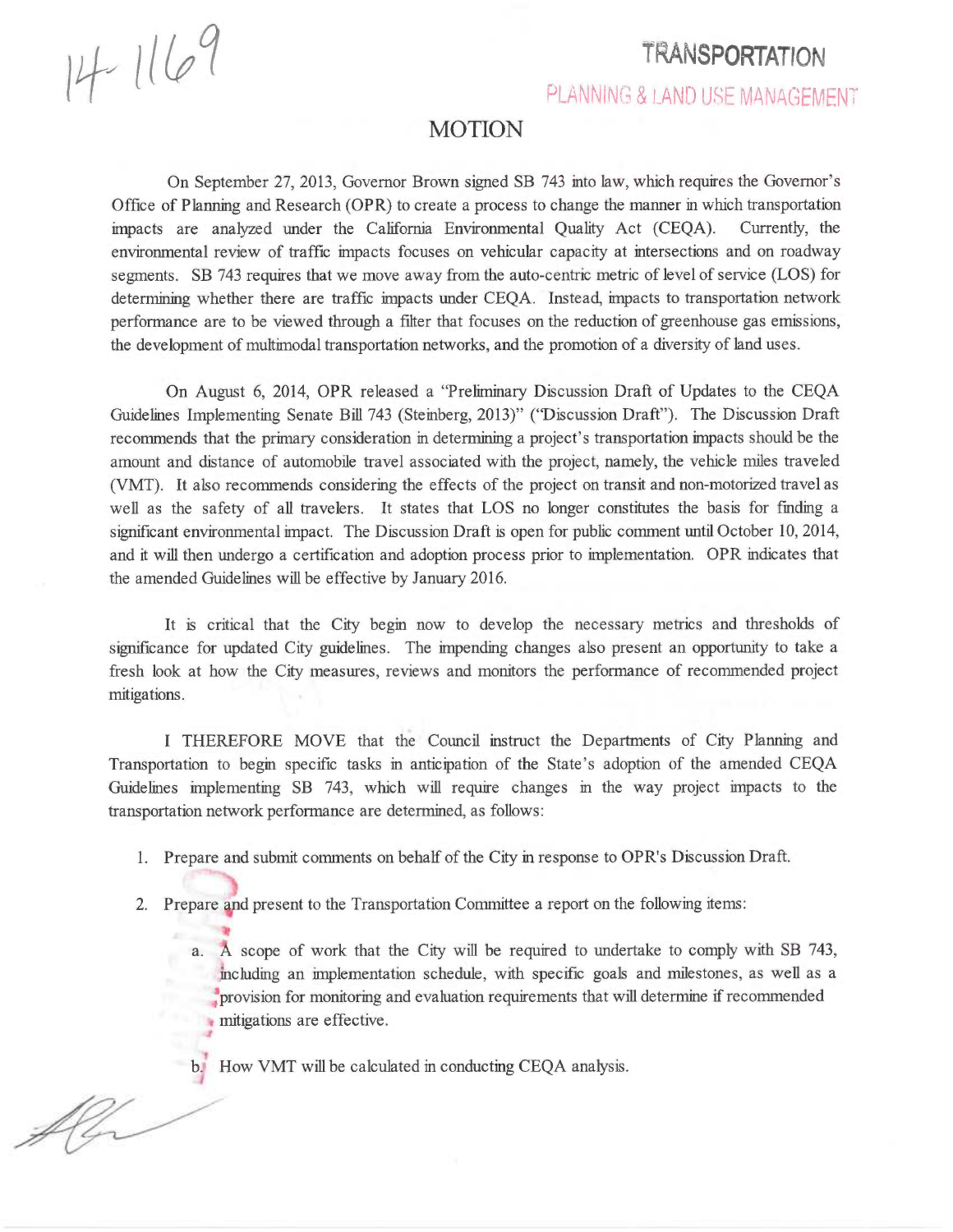14-1169

flor

## TRANSPORTATION

PLANNING & LAND USE MANAGEMENT

## MOTION

On September 27, 2013, Governor Brown signed SB 743 into law, which requires the Governor's Office of Planning and Research (OPR) to create a process to change the manner in which transportation impacts are analyzed under the California Environmental Quality Act (CEQA). Currently, the environmental review of traffic impacts focuses on vehicular capacity at intersections and on roadway segments. SB 743 requires that we move away from the auto-centric metric of level of service (LOS) for determining whether there are traffic impacts under CEQA. Instead, impacts to transportation network performance are to be viewed through a filter that focuses on the reduction of greenhouse gas emissions, the development of multimodal transportation networks, and the promotion of a diversity of land uses.

On August 6, 2014, OPR released a "Preliminary Discussion Draft of Updates to the CEQA Guidelines Implementing Senate Bill 743 (Steinberg, 2013)" ("Discussion Draft"). The Discussion Draft recommends that the primary consideration in determining a project's transportation impacts should be the amount and distance of automobile travel associated with the project, namely, the vehicle miles traveled (VMT). It also recommends considering the effects of the project on transit and non-motorized travel as well as the safety of all travelers. It states that LOS no longer constitutes the basis for finding a significant environmental impact. The Discussion Draft is open for public comment until October 10, 2014, and it will then undergo a certification and adoption process prior to implementation. OPR indicates that the amended Guidelines will be effective by January 2016.

It is critical that the City begin now to develop the necessary metrics and thresholds of significance for updated City guidelines. The impending changes also present an opportunity to take a fresh look at how the City measures, reviews and monitors the performance of recommended project mitigations.

I THEREFORE MOVE that the Council instruct the Departments of City Planning and Transportation to begin specific tasks in anticipation of the State's adoption of the amended CEQA Guidelines implementing SB 743, which will require changes in the way project impacts to the transportation network performance are determined, as follows:

1. Prepare and submit comments on behalf of the City in response to OPR's Discussion Draft.

2. Prepare and present to the Transportation Committee a report on the following items:

a. A scope of work that the City will be required to undertake to comply with SB 743, including an implementation schedule, with specific goals and milestones, as well as a (provision for monitoring and evaluation requirements that will determine if recommended mitigations are effective.

b. How VMT will be calculated in conducting CEQA analysis.